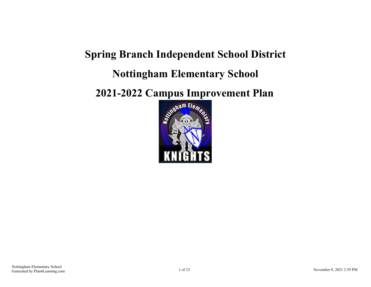# **Spring Branch Independent School District Nottingham Elementary School**

**2021-2022 Campus Improvement Plan**

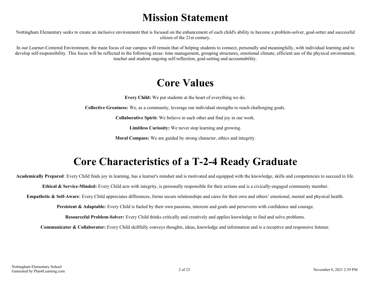### **Mission Statement**

Nottingham Elementary seeks to create an inclusive environment that is focused on the enhancement of each child's ability to become a problem-solver, goal-setter and successful citizen of the 21st century.

In our Learner-Centered Environment, the main focus of our campus will remain that of helping students to connect, personally and meaningfully, with individual learning and to develop self-responsibility. This focus will be reflected in the following areas: time management, grouping structures, emotional climate, efficient use of the physical environment, teacher and student ongoing self-reflection, goal-setting and accountability.

### **Core Values**

**Every Child:** We put students at the heart of everything we do.

**Collective Greatness:** We, as a community, leverage our individual strengths to reach challenging goals.

**Collaborative Spirit:** We believe in each other and find joy in our work.

**Limitless Curiosity:** We never stop learning and growing.

**Moral Compass:** We are guided by strong character, ethics and integrity.

## **Core Characteristics of a T-2-4 Ready Graduate**

**Academically Prepared**: Every Child finds joy in learning, has a learner's mindset and is motivated and equipped with the knowledge, skills and competencies to succeed in life.

**Ethical & Service-Minded:** Every Child acts with integrity, is personally responsible for their actions and is a civically-engaged community member.

**Empathetic & Self-Aware**: Every Child appreciates differences, forms secure relationships and cares for their own and others' emotional, mental and physical health.

**Persistent & Adaptable:** Every Child is fueled by their own passions, interests and goals and perseveres with confidence and courage.

**Resourceful Problem-Solver:** Every Child thinks critically and creatively and applies knowledge to find and solve problems.

**Communicator & Collaborator:** Every Child skillfully conveys thoughts, ideas, knowledge and information and is a receptive and responsive listener.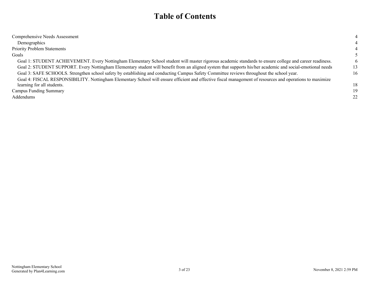### **Table of Contents**

| Comprehensive Needs Assessment                                                                                                                             | 4  |
|------------------------------------------------------------------------------------------------------------------------------------------------------------|----|
| Demographics                                                                                                                                               | 4  |
| <b>Priority Problem Statements</b>                                                                                                                         | 4  |
| Goals                                                                                                                                                      |    |
| Goal 1: STUDENT ACHIEVEMENT. Every Nottingham Elementary School student will master rigorous academic standards to ensure college and career readiness.    | 6  |
| Goal 2: STUDENT SUPPORT. Every Nottingham Elementary student will benefit from an aligned system that supports his/her academic and social-emotional needs | 13 |
| Goal 3: SAFE SCHOOLS. Strengthen school safety by establishing and conducting Campus Safety Committee reviews throughout the school year.                  | 16 |
| Goal 4: FISCAL RESPONSIBILITY. Nottingham Elementary School will ensure efficient and effective fiscal management of resources and operations to maximize  |    |
| learning for all students.                                                                                                                                 | 18 |
| <b>Campus Funding Summary</b>                                                                                                                              | 19 |
| Addendums                                                                                                                                                  | 22 |
|                                                                                                                                                            |    |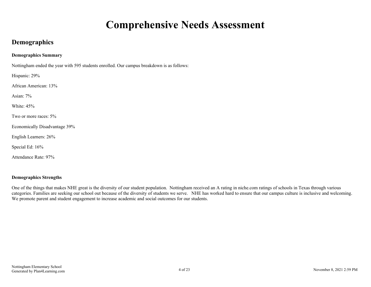### **Comprehensive Needs Assessment**

#### <span id="page-3-0"></span>**Demographics**

#### **Demographics Summary**

Nottingham ended the year with 595 students enrolled. Our campus breakdown is as follows:

Hispanic: 29%

African American: 13%

Asian: 7%

White: 45%

Two or more races: 5%

Economically Disadvantage 39%

English Learners: 26%

Special Ed: 16%

Attendance Rate: 97%

#### **Demographics Strengths**

One of the things that makes NHE great is the diversity of our student population. Nottingham received an A rating in niche.com ratings of schools in Texas through various categories. Families are seeking our school out because of the diversity of students we serve. NHE has worked hard to ensure that our campus culture is inclusive and welcoming. We promote parent and student engagement to increase academic and social outcomes for our students.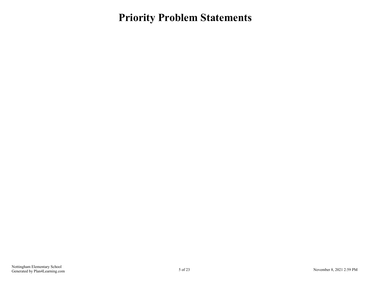### <span id="page-4-0"></span>**Priority Problem Statements**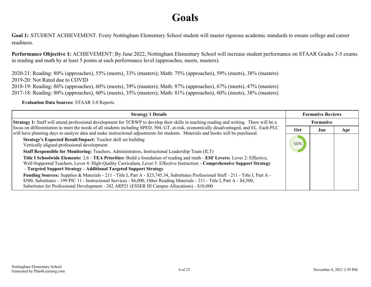### **Goals**

<span id="page-5-0"></span>**Goal 1:** STUDENT ACHIEVEMENT. Every Nottingham Elementary School student will master rigorous academic standards to ensure college and career readiness.

**Performance Objective 1:** ACHIEVEMENT: By June 2022, Nottingham Elementary School will increase student performance on STAAR Grades 3-5 exams in reading and math by at least 5 points at each performance level (approaches, meets, masters).

2020-21: Reading: 80% (approaches), 55% (meets), 33% (masters); Math: 75% (approaches), 59% (meets), 38% (masters) 2019-20: Not Rated due to COVID 2018-19: Reading: 86% (approaches), 60% (meets), 39% (masters); Math: 87% (approaches), 67% (meets), 47% (masters) 2017-18: Reading: 80% (approaches), 60% (meets), 35% (masters); Math: 81% (approaches), 60% (meets), 38% (masters)

**Evaluation Data Sources:** STAAR 3-8 Reports

| <b>Strategy 1 Details</b>                                                                                                                                                                                                                                                                                                                                                                                                                                                                                                                          |     | <b>Formative Reviews</b> |     |
|----------------------------------------------------------------------------------------------------------------------------------------------------------------------------------------------------------------------------------------------------------------------------------------------------------------------------------------------------------------------------------------------------------------------------------------------------------------------------------------------------------------------------------------------------|-----|--------------------------|-----|
| <b>Strategy 1:</b> Staff will attend professional development for TCRWP to develop their skills in teaching reading and writing. There will be a                                                                                                                                                                                                                                                                                                                                                                                                   |     | <b>Formative</b>         |     |
| focus on differentiation to meet the needs of all students including SPED, 504, GT, at-risk, economically disadvantaged, and EL. Each PLC<br>will have planning days to analyze data and make instructional adjustments for students. Materials and books will be purchased.                                                                                                                                                                                                                                                                       | Oct | Jan                      | Apr |
| Strategy's Expected Result/Impact: Teacher skill set building<br>Vertically aligned professional development<br>Staff Responsible for Monitoring: Teachers, Administrators, Instructional Leadership Team (ILT)<br>Title I Schoolwide Elements: 2.6 - TEA Priorities: Build a foundation of reading and math - ESF Levers: Lever 2: Effective,<br>Well-Supported Teachers, Lever 4: High-Quality Curriculum, Lever 5: Effective Instruction - Comprehensive Support Strategy<br>- Targeted Support Strategy - Additional Targeted Support Strategy | 50% |                          |     |
| Funding Sources: Supplies & Materials - 211 - Title I, Part A - \$23,745.34, Substitutes Professional Staff - 211 - Title I, Part A -<br>\$500, Substitutes - 199 PIC 11 - Instructional Services - \$6,000, Other Reading Materials - 211 - Title I, Part A - \$4,500,<br>Substitutes for Professional Development - 282 ARP21 (ESSER III Campus Allocations) - \$10,000                                                                                                                                                                          |     |                          |     |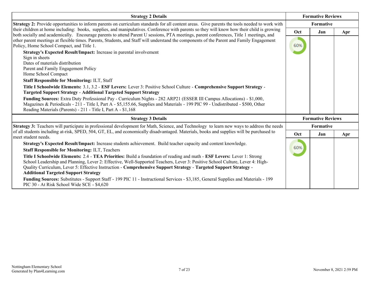| <b>Strategy 2 Details</b>                                                                                                                                                                                                                                                                                                                                                                                                    |     | <b>Formative Reviews</b> |     |  |
|------------------------------------------------------------------------------------------------------------------------------------------------------------------------------------------------------------------------------------------------------------------------------------------------------------------------------------------------------------------------------------------------------------------------------|-----|--------------------------|-----|--|
| Strategy 2: Provide opportunities to inform parents on curriculum standards for all content areas. Give parents the tools needed to work with                                                                                                                                                                                                                                                                                |     | Formative                |     |  |
| their children at home including: books, supplies, and manipulatives. Conference with parents so they will know how their child is growing                                                                                                                                                                                                                                                                                   |     | Jan                      | Apr |  |
| both socially and academically. Encourage parents to attend Parent U sessions, PTA meetings, parent conferences, Title 1 meetings, and<br>other parent meetings at flexible times. Parents, Students, and Staff will understand the components of the Parent and Family Engagement<br>Policy, Home School Compact, and Title 1.                                                                                              | 60% |                          |     |  |
| Strategy's Expected Result/Impact: Increase in parental involvement<br>Sign in sheets                                                                                                                                                                                                                                                                                                                                        |     |                          |     |  |
| Dates of materials distribution<br>Parent and Family Engagement Policy<br>Home School Compact                                                                                                                                                                                                                                                                                                                                |     |                          |     |  |
| <b>Staff Responsible for Monitoring: ILT, Staff</b>                                                                                                                                                                                                                                                                                                                                                                          |     |                          |     |  |
| Title I Schoolwide Elements: 3.1, 3.2 - ESF Levers: Lever 3: Positive School Culture - Comprehensive Support Strategy -<br><b>Targeted Support Strategy - Additional Targeted Support Strategy</b>                                                                                                                                                                                                                           |     |                          |     |  |
| Funding Sources: Extra Duty Professional Pay - Curriculum Nights - 282 ARP21 (ESSER III Campus Allocations) - \$1,000,<br>Magazines & Periodicals - 211 - Title I, Part A - \$5,155.66, Supplies and Materials - 199 PIC 99 - Undistributed - \$500, Other<br>Reading Materials (Parents) - 211 - Title I, Part A - \$1,168                                                                                                  |     |                          |     |  |
| <b>Strategy 3 Details</b>                                                                                                                                                                                                                                                                                                                                                                                                    |     | <b>Formative Reviews</b> |     |  |
| Strategy 3: Teachers will participate in professional development for Math, Science, and Technology to learn new ways to address the needs                                                                                                                                                                                                                                                                                   |     | Formative                |     |  |
| of all students including at-risk, SPED, 504, GT, EL, and economically disadvantaged. Materials, books and supplies will be purchased to<br>meet student needs.                                                                                                                                                                                                                                                              | Oct | Jan                      | Apr |  |
| Strategy's Expected Result/Impact: Increase students achievement. Build teacher capacity and content knowledge.                                                                                                                                                                                                                                                                                                              |     |                          |     |  |
| <b>Staff Responsible for Monitoring: ILT, Teachers</b>                                                                                                                                                                                                                                                                                                                                                                       | 60% |                          |     |  |
| Title I Schoolwide Elements: 2.4 - TEA Priorities: Build a foundation of reading and math - ESF Levers: Lever 1: Strong<br>School Leadership and Planning, Lever 2: Effective, Well-Supported Teachers, Lever 3: Positive School Culture, Lever 4: High-<br>Quality Curriculum, Lever 5: Effective Instruction - Comprehensive Support Strategy - Targeted Support Strategy -<br><b>Additional Targeted Support Strategy</b> |     |                          |     |  |
| Funding Sources: Substitutes - Support Staff - 199 PIC 11 - Instructional Services - \$3,185, General Supplies and Materials - 199<br>PIC 30 - At Risk School Wide SCE - \$4,620                                                                                                                                                                                                                                             |     |                          |     |  |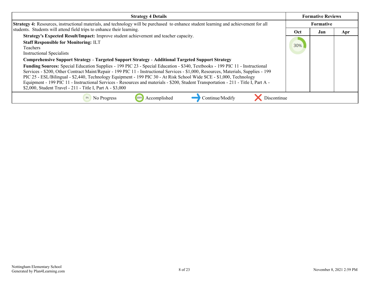| <b>Strategy 4 Details</b>                                                                                                                                                                                                                                                                                                                                                                                                                                                                                                                                                                                                                                                                           |     | <b>Formative Reviews</b> |     |
|-----------------------------------------------------------------------------------------------------------------------------------------------------------------------------------------------------------------------------------------------------------------------------------------------------------------------------------------------------------------------------------------------------------------------------------------------------------------------------------------------------------------------------------------------------------------------------------------------------------------------------------------------------------------------------------------------------|-----|--------------------------|-----|
| <b>Strategy 4:</b> Resources, instructional materials, and technology will be purchased to enhance student learning and achievement for all                                                                                                                                                                                                                                                                                                                                                                                                                                                                                                                                                         |     | <b>Formative</b>         |     |
| students. Students will attend field trips to enhance their learning.                                                                                                                                                                                                                                                                                                                                                                                                                                                                                                                                                                                                                               | Oct | Jan                      | Apr |
| Strategy's Expected Result/Impact: Improve student achievement and teacher capacity.<br><b>Staff Responsible for Monitoring: ILT</b><br>Teachers<br><b>Instructional Specialists</b>                                                                                                                                                                                                                                                                                                                                                                                                                                                                                                                | 30% |                          |     |
| Comprehensive Support Strategy - Targeted Support Strategy - Additional Targeted Support Strategy<br>Funding Sources: Special Education Supplies - 199 PIC 23 - Special Education - \$340, Textbooks - 199 PIC 11 - Instructional<br>Services - \$200, Other Contract Maint/Repair - 199 PIC 11 - Instructional Services - \$1,000, Resources, Materials, Supplies - 199<br>PIC 25 - ESL/Bilingual - \$2,440, Technology Equipment - 199 PIC 30 - At Risk School Wide SCE - \$1,000, Technology<br>Equipment - 199 PIC 11 - Instructional Services - Resources and materials - \$200, Student Transportation - 211 - Title I, Part A -<br>\$2,000, Student Travel - 211 - Title I, Part A - \$3,000 |     |                          |     |
| Continue/Modify<br>Discontinue<br>No Progress<br>Accomplished                                                                                                                                                                                                                                                                                                                                                                                                                                                                                                                                                                                                                                       |     |                          |     |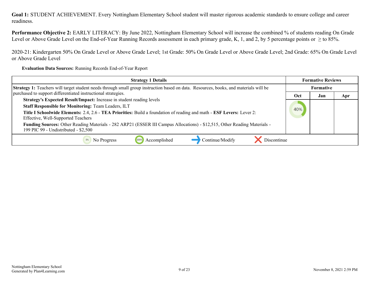**Performance Objective 2:** EARLY LITERACY: By June 2022, Nottingham Elementary School will increase the combined % of students reading On Grade Level or Above Grade Level on the End-of-Year Running Records assessment in each primary grade, K, 1, and 2, by 5 percentage points or  $\geq$  to 85%.

2020-21: Kindergarten 50% On Grade Level or Above Grade Level; 1st Grade: 50% On Grade Level or Above Grade Level; 2nd Grade: 65% On Grade Level or Above Grade Level

**Evaluation Data Sources:** Running Records End-of-Year Report

| <b>Strategy 1 Details</b>                                                                                                                                                                                                                                                                          |     | <b>Formative Reviews</b> |     |
|----------------------------------------------------------------------------------------------------------------------------------------------------------------------------------------------------------------------------------------------------------------------------------------------------|-----|--------------------------|-----|
| Strategy 1: Teachers will target student needs through small group instruction based on data. Resources, books, and materials will be                                                                                                                                                              |     | <b>Formative</b>         |     |
| purchased to support differentiated instructional strategies.                                                                                                                                                                                                                                      | Oct | Jan                      | Apr |
| Strategy's Expected Result/Impact: Increase in student reading levels<br><b>Staff Responsible for Monitoring: Team Leaders, ILT</b><br>Title I Schoolwide Elements: 2.4, 2.6 - TEA Priorities: Build a foundation of reading and math - ESF Levers: Lever 2:<br>Effective, Well-Supported Teachers | 40% |                          |     |
| Funding Sources: Other Reading Materials - 282 ARP21 (ESSER III Campus Allocations) - \$12,515, Other Reading Materials -<br>199 PIC 99 - Undistributed - \$2,500                                                                                                                                  |     |                          |     |
| Continue/Modify<br>Discontinue<br>Accomplished<br>No Progress                                                                                                                                                                                                                                      |     |                          |     |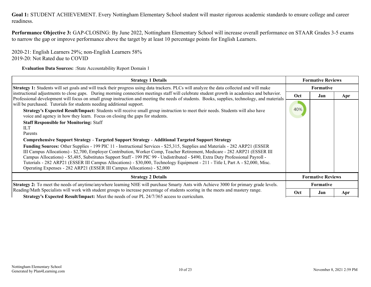**Performance Objective 3:** GAP-CLOSING: By June 2022, Nottingham Elementary School will increase overall performance on STAAR Grades 3-5 exams to narrow the gap or improve performance above the target by at least 10 percentage points for English Learners.

2020-21: English Learners 29%; non-English Learners 58% 2019-20: Not Rated due to COVID

**Evaluation Data Sources:** :State Accountability Report Domain 1

| <b>Strategy 1 Details</b>                                                                                                                                                                                                                                                                                                                                                                                                                                                                                                                                                                                   | <b>Formative Reviews</b> |                          |     |  |
|-------------------------------------------------------------------------------------------------------------------------------------------------------------------------------------------------------------------------------------------------------------------------------------------------------------------------------------------------------------------------------------------------------------------------------------------------------------------------------------------------------------------------------------------------------------------------------------------------------------|--------------------------|--------------------------|-----|--|
| Strategy 1: Students will set goals and will track their progress using data trackers. PLCs will analyze the data collected and will make                                                                                                                                                                                                                                                                                                                                                                                                                                                                   |                          | Formative                |     |  |
| instructional adjustments to close gaps. During morning connection meetings staff will celebrate student growth in academics and behavior.<br>Professional development will focus on small group instruction and meeting the needs of students. Books, supplies, technology, and materials                                                                                                                                                                                                                                                                                                                  | Oct                      | Jan                      | Apr |  |
| will be purchased. Tutorials for students needing additional support.                                                                                                                                                                                                                                                                                                                                                                                                                                                                                                                                       | 40%                      |                          |     |  |
| Strategy's Expected Result/Impact: Students will receive small group instruction to meet their needs. Students will also have<br>voice and agency in how they learn. Focus on closing the gaps for students.                                                                                                                                                                                                                                                                                                                                                                                                |                          |                          |     |  |
| <b>Staff Responsible for Monitoring: Staff</b>                                                                                                                                                                                                                                                                                                                                                                                                                                                                                                                                                              |                          |                          |     |  |
| <b>ILT</b>                                                                                                                                                                                                                                                                                                                                                                                                                                                                                                                                                                                                  |                          |                          |     |  |
| Parents                                                                                                                                                                                                                                                                                                                                                                                                                                                                                                                                                                                                     |                          |                          |     |  |
| Comprehensive Support Strategy - Targeted Support Strategy - Additional Targeted Support Strategy                                                                                                                                                                                                                                                                                                                                                                                                                                                                                                           |                          |                          |     |  |
| Funding Sources: Other Supplies - 199 PIC 11 - Instructional Services - \$25,315, Supplies and Materials - 282 ARP21 (ESSER<br>III Campus Allocations) - \$2,700, Employer Contribution, Worker Comp, Teacher Retirement, Medicare - 282 ARP21 (ESSER III)<br>Campus Allocations) - \$5,485, Substitutes Support Staff - 199 PIC 99 - Undistributed - \$490, Extra Duty Professional Payroll -<br>Tutorials - 282 ARP21 (ESSER III Campus Allocations) - \$30,000, Technology Equipment - 211 - Title I, Part A - \$2,000, Misc.<br>Operating Expenses - 282 ARP21 (ESSER III Campus Allocations) - \$2,000 |                          |                          |     |  |
| <b>Strategy 2 Details</b>                                                                                                                                                                                                                                                                                                                                                                                                                                                                                                                                                                                   |                          | <b>Formative Reviews</b> |     |  |
| <b>Strategy 2:</b> To meet the needs of anytime/anywhere learning NHE will purchase Smarty Ants with Achieve 3000 for primary grade levels.                                                                                                                                                                                                                                                                                                                                                                                                                                                                 |                          | <b>Formative</b>         |     |  |
| Reading/Math Specialists will work with student groups to increase percentage of students scoring in the meets and mastery range.                                                                                                                                                                                                                                                                                                                                                                                                                                                                           | Oct                      | Jan                      | Apr |  |
| <b>Strategy's Expected Result/Impact:</b> Meet the needs of our PL 24/7/365 access to curriculum.                                                                                                                                                                                                                                                                                                                                                                                                                                                                                                           |                          |                          |     |  |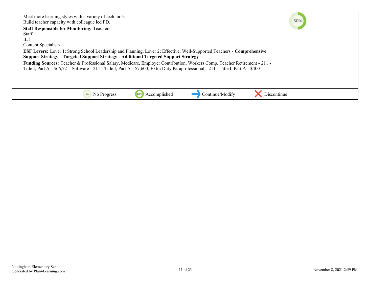| Meet more learning styles with a variety of tech tools.<br>Build teacher capacity with colleague led PD.<br><b>Staff Responsible for Monitoring: Teachers</b><br><b>Staff</b><br>HЛ<br>Content Specialists<br><b>ESF Levers:</b> Lever 1: Strong School Leadership and Planning, Lever 2: Effective, Well-Supported Teachers - Comprehensive<br><b>Support Strategy - Targeted Support Strategy - Additional Targeted Support Strategy</b><br>Funding Sources: Teacher & Professional Salary, Medicare, Employer Contribution, Workers Comp, Teacher Retirement - 211 - | 50% |  |
|-------------------------------------------------------------------------------------------------------------------------------------------------------------------------------------------------------------------------------------------------------------------------------------------------------------------------------------------------------------------------------------------------------------------------------------------------------------------------------------------------------------------------------------------------------------------------|-----|--|
| Title I, Part A - \$66,721, Software - 211 - Title I, Part A - \$7,600, Extra Duty Paraprofessional - 211 - Title I, Part A - \$400                                                                                                                                                                                                                                                                                                                                                                                                                                     |     |  |
| Continue/Modify<br>Accomplished<br>0%<br>No Progress<br>Discontinue                                                                                                                                                                                                                                                                                                                                                                                                                                                                                                     |     |  |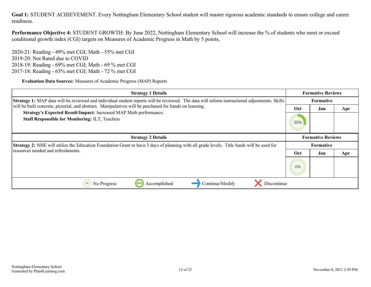**Performance Objective 4:** STUDENT GROWTH: By June 2022, Nottingham Elementary School will increase the % of students who meet or exceed conditional growth index (CGI) targets on Measures of Academic Progress in Math by 5 points,

2020-21: Reading - 49% met CGI; Math - 55% met CGI 2019-20: Not Rated due to COVID 2018-19: Reading - 69% met CGI; Math - 69 % met CGI 2017-18: Reading - 63% met CGI; Math - 72 % met CGI

**Evaluation Data Sources:** Measures of Academic Progress (MAP) Reports

| <b>Strategy 1 Details</b>                                                                                                                            |     | <b>Formative Reviews</b> |           |  |
|------------------------------------------------------------------------------------------------------------------------------------------------------|-----|--------------------------|-----------|--|
| <b>Strategy 1:</b> MAP data will be reviewed and individual student reports will be reviewed. The data will inform instructional adjustments. Skills |     | <b>Formative</b>         |           |  |
| will be built concrete, pictorial, and abstract. Manipulatives will be purchased for hands on learning.                                              | Oct | Jan                      | Apr       |  |
| Strategy's Expected Result/Impact: Increased MAP Math performance.<br><b>Staff Responsible for Monitoring: ILT, Teachers</b>                         | 30% |                          |           |  |
| <b>Strategy 2 Details</b>                                                                                                                            |     | <b>Formative Reviews</b> |           |  |
| <b>Strategy 2:</b> NHE will utilize the Education Foundation Grant to have 3 days of planning with all grade levels. Title funds will be used for    |     |                          | Formative |  |
| resources needed and refreshments.                                                                                                                   | Oct | Jan                      | Apr       |  |
|                                                                                                                                                      | 0%  |                          |           |  |
| Discontinue<br>Accomplished<br>Continue/Modify<br>0%<br>100%<br>No Progress                                                                          |     |                          |           |  |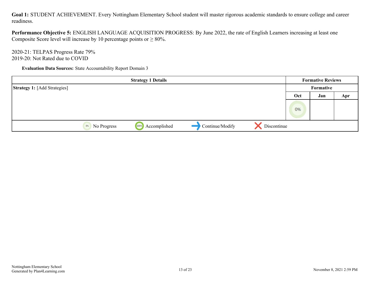**Performance Objective 5:** ENGLISH LANGUAGE ACQUISITION PROGRESS: By June 2022, the rate of English Learners increasing at least one Composite Score level will increase by 10 percentage points or  $\geq 80\%$ .

2020-21: TELPAS Progress Rate 79% 2019-20: Not Rated due to COVID

**Evaluation Data Sources:** State Accountability Report Domain 3

|                                     |                   | <b>Strategy 1 Details</b> |                 |             |     | <b>Formative Reviews</b> |     |
|-------------------------------------|-------------------|---------------------------|-----------------|-------------|-----|--------------------------|-----|
| <b>Strategy 1:</b> [Add Strategies] |                   |                           |                 |             |     | Formative                |     |
|                                     |                   |                           |                 |             | Oct | Jan                      | Apr |
|                                     |                   |                           |                 |             | 0%  |                          |     |
|                                     | 0%<br>No Progress | Accomplished<br>100%      | Continue/Modify | Discontinue |     |                          |     |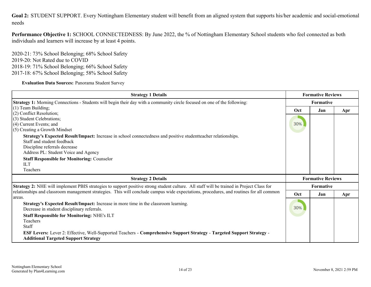<span id="page-13-0"></span>**Goal 2:** STUDENT SUPPORT. Every Nottingham Elementary student will benefit from an aligned system that supports his/her academic and social-emotional needs

**Performance Objective 1:** SCHOOL CONNECTEDNESS: By June 2022, the % of Nottingham Elementary School students who feel connected as both individuals and learners will increase by at least 4 points.

2020-21: 73% School Belonging; 68% School Safety 2019-20: Not Rated due to COVID 2018-19: 71% School Belonging; 66% School Safety 2017-18: 67% School Belonging; 58% School Safety

**Evaluation Data Sources:** Panorama Student Survey

| <b>Strategy 1 Details</b>                                                                                                                                                                                              |     | <b>Formative Reviews</b> |     |  |
|------------------------------------------------------------------------------------------------------------------------------------------------------------------------------------------------------------------------|-----|--------------------------|-----|--|
| Strategy 1: Morning Connections - Students will begin their day with a community circle focused on one of the following:                                                                                               |     | Formative                |     |  |
| $(1)$ Team Building;                                                                                                                                                                                                   | Oct | Jan                      | Apr |  |
| $(2)$ Conflict Resolution;<br>(3) Student Celebrations;                                                                                                                                                                |     |                          |     |  |
| $(4)$ Current Events; and                                                                                                                                                                                              | 30% |                          |     |  |
| (5) Creating a Growth Mindset                                                                                                                                                                                          |     |                          |     |  |
| Strategy's Expected Result/Impact: Increase in school connectedness and positive student teacher relationships.<br>Staff and student feedback<br>Discipline referrals decrease<br>Address PL: Student Voice and Agency |     |                          |     |  |
| <b>Staff Responsible for Monitoring: Counselor</b>                                                                                                                                                                     |     |                          |     |  |
| ILT                                                                                                                                                                                                                    |     |                          |     |  |
| Teachers                                                                                                                                                                                                               |     |                          |     |  |
| <b>Strategy 2 Details</b>                                                                                                                                                                                              |     | <b>Formative Reviews</b> |     |  |
| Strategy 2: NHE will implement PBIS strategies to support positive strong student culture. All staff will be trained in Project Class for                                                                              |     | <b>Formative</b>         |     |  |
| relationships and classroom management strategies. This will conclude campus wide expectations, procedures, and routines for all common<br>l areas.                                                                    | Oct | Jan                      | Apr |  |
| Strategy's Expected Result/Impact: Increase in more time in the classroom learning.<br>Decrease in student disciplinary referrals.                                                                                     | 30% |                          |     |  |
| <b>Staff Responsible for Monitoring: NHE's ILT</b><br>Teachers<br>Staff                                                                                                                                                |     |                          |     |  |
| ESF Levers: Lever 2: Effective, Well-Supported Teachers - Comprehensive Support Strategy - Targeted Support Strategy -<br><b>Additional Targeted Support Strategy</b>                                                  |     |                          |     |  |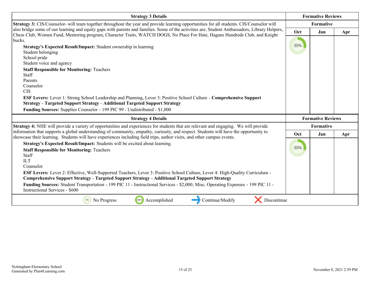| <b>Strategy 3 Details</b>                                                                                                                                                                                                                                                                                                                                                                                                                                                                                                                                                               |     | <b>Formative Reviews</b> |     |
|-----------------------------------------------------------------------------------------------------------------------------------------------------------------------------------------------------------------------------------------------------------------------------------------------------------------------------------------------------------------------------------------------------------------------------------------------------------------------------------------------------------------------------------------------------------------------------------------|-----|--------------------------|-----|
| Strategy 3: CIS/Counselor- will team together throughout the year and provide learning opportunities for all students. CIS/Counselor will                                                                                                                                                                                                                                                                                                                                                                                                                                               |     | Formative                |     |
| also bridge some of our learning and equity gaps with parents and families. Some of the activities are; Student Ambassadors, Library Helpers,<br>Chess Club, Women Fund, Mentoring program, Character Traits, WATCH DOGS, No Place For Hate, Hagans Hundreds Club, and Knight                                                                                                                                                                                                                                                                                                           | Oct | Jan                      | Apr |
| bucks.<br>Strategy's Expected Result/Impact: Student ownership in learning<br>Student belonging<br>School pride<br>Student voice and agency<br><b>Staff Responsible for Monitoring: Teachers</b><br>Staff<br>Parents<br>Counselor<br><b>CIS</b>                                                                                                                                                                                                                                                                                                                                         | 30% |                          |     |
| ESF Levers: Lever 1: Strong School Leadership and Planning, Lever 3: Positive School Culture - Comprehensive Support<br><b>Strategy - Targeted Support Strategy - Additional Targeted Support Strategy</b><br>Funding Sources: Supplies Counselor - 199 PIC 99 - Undistributed - \$1,000                                                                                                                                                                                                                                                                                                |     |                          |     |
| <b>Strategy 4 Details</b>                                                                                                                                                                                                                                                                                                                                                                                                                                                                                                                                                               |     | <b>Formative Reviews</b> |     |
| <b>Strategy 4:</b> NHE will provide a variety of opportunities and experiences for students that are relevant and engaging. We will provide                                                                                                                                                                                                                                                                                                                                                                                                                                             |     | Formative                |     |
| information that supports a global understanding of community, empathy, curiosity, and respect. Students will have the opportunity to<br>showcase their learning. Students will have experiences including field trips, author visits, and other campus events.                                                                                                                                                                                                                                                                                                                         | Oct | Jan                      | Apr |
| Strategy's Expected Result/Impact: Students will be excited about learning.<br><b>Staff Responsible for Monitoring: Teachers</b><br>Staff<br><b>ILT</b><br>Counselor<br>ESF Levers: Lever 2: Effective, Well-Supported Teachers, Lever 3: Positive School Culture, Lever 4: High-Quality Curriculum -<br>Comprehensive Support Strategy - Targeted Support Strategy - Additional Targeted Support Strategy<br>Funding Sources: Student Transportation - 199 PIC 11 - Instructional Services - \$2,000, Misc. Operating Expenses - 199 PIC 11 -<br><b>Instructional Services - \$600</b> | 30% |                          |     |
| 100%<br>Accomplished<br>Continue/Modify<br>Discontinue<br>No Progress                                                                                                                                                                                                                                                                                                                                                                                                                                                                                                                   |     |                          |     |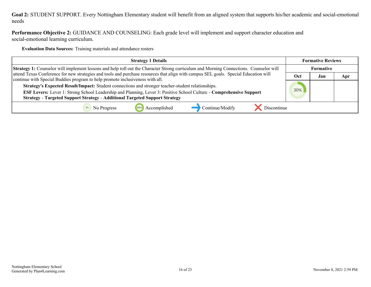#### **Goal 2:** STUDENT SUPPORT. Every Nottingham Elementary student will benefit from an aligned system that supports his/her academic and social-emotional needs

**Performance Objective 2:** GUIDANCE AND COUNSELING: Each grade level will implement and support character education and social-emotional learning curriculum.

**Evaluation Data Sources:** Training materials and attendance rosters

| <b>Strategy 1 Details</b>                                                                                                                                                                                                                                                                                        | <b>Formative Reviews</b> |     |     |
|------------------------------------------------------------------------------------------------------------------------------------------------------------------------------------------------------------------------------------------------------------------------------------------------------------------|--------------------------|-----|-----|
| <b>Strategy 1:</b> Counselor will implement lessons and help roll out the Character Strong curriculum and Morning Connections. Counselor will                                                                                                                                                                    |                          |     |     |
| attend Texas Conference for new strategies and tools and purchase resources that align with campus SEL goals. Special Education will<br>continue with Special Buddies program to help promote inclusiveness with all.                                                                                            | Oct                      | Jan | Apr |
| Strategy's Expected Result/Impact: Student connections and stronger teacher-student relationships.<br>ESF Levers: Lever 1: Strong School Leadership and Planning, Lever 3: Positive School Culture - Comprehensive Support<br><b>Strategy - Targeted Support Strategy - Additional Targeted Support Strategy</b> |                          |     |     |
|                                                                                                                                                                                                                                                                                                                  |                          |     |     |
| Continue/Modify<br>Accomplished<br>Discontinue<br>No Progress                                                                                                                                                                                                                                                    |                          |     |     |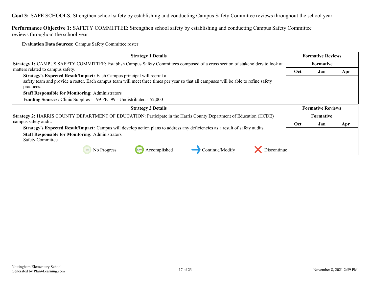<span id="page-16-0"></span>**Goal 3:** SAFE SCHOOLS. Strengthen school safety by establishing and conducting Campus Safety Committee reviews throughout the school year.

**Performance Objective 1:** SAFETY COMMITTEE: Strengthen school safety by establishing and conducting Campus Safety Committee reviews throughout the school year.

**Evaluation Data Sources:** Campus Safety Committee roster

| <b>Strategy 1 Details</b>                                                                                                                                                                                                     | <b>Formative Reviews</b> |                  |     |
|-------------------------------------------------------------------------------------------------------------------------------------------------------------------------------------------------------------------------------|--------------------------|------------------|-----|
| Strategy 1: CAMPUS SAFETY COMMITTEE: Establish Campus Safety Committees composed of a cross section of stakeholders to look at                                                                                                | Formative                |                  |     |
| matters related to campus safety.                                                                                                                                                                                             | Oct                      | Jan              | Apr |
| Strategy's Expected Result/Impact: Each Campus principal will recruit a<br>safety team and provide a roster. Each campus team will meet three times per year so that all campuses will be able to refine safety<br>practices. |                          |                  |     |
| <b>Staff Responsible for Monitoring: Administrators</b>                                                                                                                                                                       |                          |                  |     |
| <b>Funding Sources:</b> Clinic Supplies - 199 PIC 99 - Undistributed - \$2,000                                                                                                                                                |                          |                  |     |
|                                                                                                                                                                                                                               | <b>Formative Reviews</b> |                  |     |
| <b>Strategy 2 Details</b>                                                                                                                                                                                                     |                          |                  |     |
| Strategy 2: HARRIS COUNTY DEPARTMENT OF EDUCATION: Participate in the Harris County Department of Education (HCDE)                                                                                                            |                          | <b>Formative</b> |     |
| campus safety audit.                                                                                                                                                                                                          | Oct                      | Jan              | Apr |
| Strategy's Expected Result/Impact: Campus will develop action plans to address any deficiencies as a result of safety audits.                                                                                                 |                          |                  |     |
| <b>Staff Responsible for Monitoring: Administrators</b><br><b>Safety Committee</b>                                                                                                                                            |                          |                  |     |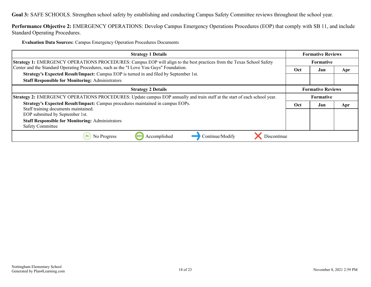**Goal 3:** SAFE SCHOOLS. Strengthen school safety by establishing and conducting Campus Safety Committee reviews throughout the school year.

**Performance Objective 2:** EMERGENCY OPERATIONS: Develop Campus Emergency Operations Procedures (EOP) that comply with SB 11, and include Standard Operating Procedures.

**Evaluation Data Sources:** Campus Emergency Operation Procedures Documents

| <b>Strategy 1 Details</b>                                                                                                        | <b>Formative Reviews</b> |     |     |
|----------------------------------------------------------------------------------------------------------------------------------|--------------------------|-----|-----|
| Strategy 1: EMERGENCY OPERATIONS PROCEDURES: Campus EOP will align to the best practices from the Texas School Safety            | <b>Formative</b>         |     |     |
| Center and the Standard Operating Procedures, such as the "I Love You Guys" Foundation.                                          | Oct                      | Jan | Apr |
| Strategy's Expected Result/Impact: Campus EOP is turned in and filed by September 1st.                                           |                          |     |     |
| <b>Staff Responsible for Monitoring: Administrators</b>                                                                          |                          |     |     |
| <b>Strategy 2 Details</b>                                                                                                        | <b>Formative Reviews</b> |     |     |
| <b>Strategy 2:</b> EMERGENCY OPERATIONS PROCEDURES: Update campus EOP annually and train staff at the start of each school year. | <b>Formative</b>         |     |     |
| Strategy's Expected Result/Impact: Campus procedures maintained in campus EOPs.                                                  | Oct                      | Jan | Apr |
| Staff training documents maintained.<br>EOP submitted by September 1st.                                                          |                          |     |     |
| <b>Staff Responsible for Monitoring: Administrators</b><br><b>Safety Committee</b>                                               |                          |     |     |
| Discontinue<br>Accomplished<br>Continue/Modify<br>0%<br>No Progress<br>100%                                                      |                          |     |     |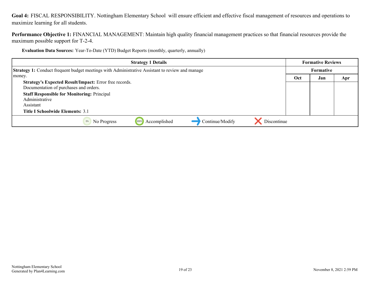<span id="page-18-0"></span>**Goal 4:** FISCAL RESPONSIBILITY. Nottingham Elementary School will ensure efficient and effective fiscal management of resources and operations to maximize learning for all students.

**Performance Objective 1:** FINANCIAL MANAGEMENT: Maintain high quality financial management practices so that financial resources provide the maximum possible support for T-2-4.

**Evaluation Data Sources:** Year-To-Date (YTD) Budget Reports (monthly, quarterly, annually)

| <b>Strategy 1 Details</b>                                                                       | <b>Formative Reviews</b> |           |     |
|-------------------------------------------------------------------------------------------------|--------------------------|-----------|-----|
| Strategy 1: Conduct frequent budget meetings with Administrative Assistant to review and manage |                          | Formative |     |
| money.                                                                                          | Oct                      | Jan       | Apr |
| Strategy's Expected Result/Impact: Error free records.                                          |                          |           |     |
| Documentation of purchases and orders.                                                          |                          |           |     |
| <b>Staff Responsible for Monitoring: Principal</b>                                              |                          |           |     |
| Administrative                                                                                  |                          |           |     |
| Assistant                                                                                       |                          |           |     |
| Title I Schoolwide Elements: 3.1                                                                |                          |           |     |
| Continue/Modify<br>Discontinue<br>Accomplished<br>No Progress                                   |                          |           |     |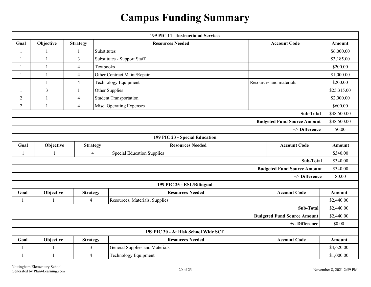### **Campus Funding Summary**

<span id="page-19-0"></span>

| 199 PIC 11 - Instructional Services  |                |                 |                                                               |                                       |                                    |             |
|--------------------------------------|----------------|-----------------|---------------------------------------------------------------|---------------------------------------|------------------------------------|-------------|
| Goal                                 | Objective      | <b>Strategy</b> |                                                               | <b>Resources Needed</b>               | <b>Account Code</b>                |             |
| $\mathbf{1}$                         | $\mathbf{1}$   | -1              | Substitutes                                                   |                                       | \$6,000.00                         |             |
|                                      | $\mathbf{1}$   | 3               | Substitutes - Support Staff                                   |                                       | \$3,185.00                         |             |
|                                      | $\mathbf{1}$   | 4               | Textbooks                                                     |                                       |                                    | \$200.00    |
|                                      |                | $\overline{4}$  |                                                               | Other Contract Maint/Repair           |                                    | \$1,000.00  |
|                                      | $\mathbf{1}$   | $\overline{4}$  |                                                               | <b>Technology Equipment</b>           | Resources and materials            | \$200.00    |
| $\mathbf{1}$                         | $\overline{3}$ | $\mathbf{1}$    |                                                               | Other Supplies                        |                                    | \$25,315.00 |
| $\overline{2}$                       | $\mathbf{1}$   | $\overline{4}$  |                                                               | <b>Student Transportation</b>         |                                    | \$2,000.00  |
| $\overline{2}$                       | $\mathbf{1}$   | $\overline{4}$  |                                                               | Misc. Operating Expenses              |                                    | \$600.00    |
|                                      |                |                 |                                                               |                                       | Sub-Total                          | \$38,500.00 |
|                                      |                |                 |                                                               |                                       | <b>Budgeted Fund Source Amount</b> | \$38,500.00 |
|                                      |                |                 |                                                               |                                       | +/- Difference                     | \$0.00      |
|                                      |                |                 |                                                               | 199 PIC 23 - Special Education        |                                    |             |
| Goal                                 | Objective      | <b>Strategy</b> |                                                               | <b>Resources Needed</b>               | <b>Account Code</b>                | Amount      |
| $\overline{1}$                       | $\mathbf{1}$   |                 | <b>Special Education Supplies</b><br>$\overline{\mathcal{A}}$ |                                       | \$340.00                           |             |
|                                      |                |                 |                                                               |                                       | Sub-Total                          | \$340.00    |
|                                      |                |                 |                                                               |                                       | <b>Budgeted Fund Source Amount</b> | \$340.00    |
|                                      |                |                 |                                                               |                                       | +/- Difference                     | \$0.00      |
|                                      |                |                 |                                                               | 199 PIC 25 - ESL/Bilingual            |                                    |             |
| Goal                                 | Objective      | <b>Strategy</b> |                                                               | <b>Resources Needed</b>               | <b>Account Code</b>                | Amount      |
| $\mathbf{1}$                         |                | $\overline{4}$  |                                                               | Resources, Materials, Supplies        |                                    | \$2,440.00  |
|                                      |                |                 |                                                               |                                       | Sub-Total                          | \$2,440.00  |
|                                      |                |                 |                                                               |                                       | <b>Budgeted Fund Source Amount</b> | \$2,440.00  |
| +/- Difference                       |                |                 |                                                               |                                       | \$0.00                             |             |
| 199 PIC 30 - At Risk School Wide SCE |                |                 |                                                               |                                       |                                    |             |
| Goal                                 | Objective      | <b>Strategy</b> |                                                               | <b>Resources Needed</b>               | <b>Account Code</b>                | Amount      |
| $\mathbf{1}$                         |                | $\overline{3}$  |                                                               | <b>General Supplies and Materials</b> |                                    | \$4,620.00  |
| $\mathbf{1}$                         | $\mathbf{1}$   | $\overline{4}$  |                                                               | <b>Technology Equipment</b>           |                                    | \$1,000.00  |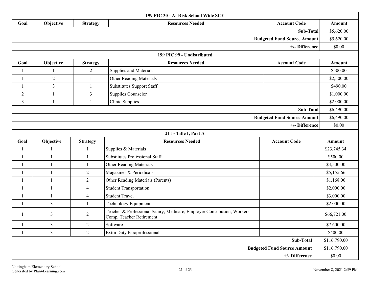| 199 PIC 30 - At Risk School Wide SCE |                |                 |                                                                                                     |                                    |             |
|--------------------------------------|----------------|-----------------|-----------------------------------------------------------------------------------------------------|------------------------------------|-------------|
| Goal                                 | Objective      | <b>Strategy</b> | <b>Resources Needed</b>                                                                             | <b>Account Code</b>                | Amount      |
|                                      |                |                 |                                                                                                     | Sub-Total                          | \$5,620.00  |
| <b>Budgeted Fund Source Amount</b>   |                |                 | \$5,620.00                                                                                          |                                    |             |
|                                      |                |                 |                                                                                                     | +/- Difference                     | \$0.00      |
|                                      |                |                 | 199 PIC 99 - Undistributed                                                                          |                                    |             |
| Goal                                 | Objective      | <b>Strategy</b> | <b>Resources Needed</b>                                                                             | <b>Account Code</b>                | Amount      |
| $\mathbf{1}$                         |                | $\overline{2}$  | Supplies and Materials                                                                              |                                    | \$500.00    |
| $\mathbf{1}$                         | $\overline{2}$ | 1               | <b>Other Reading Materials</b>                                                                      |                                    | \$2,500.00  |
| $\mathbf{1}$                         | $\overline{3}$ | $\mathbf{1}$    | <b>Substitutes Support Staff</b>                                                                    |                                    | \$490.00    |
| $\overline{c}$                       |                | 3               | <b>Supplies Counselor</b>                                                                           |                                    | \$1,000.00  |
| 3                                    | $\overline{1}$ | $\mathbf{1}$    | <b>Clinic Supplies</b>                                                                              |                                    | \$2,000.00  |
|                                      |                |                 |                                                                                                     | Sub-Total                          | \$6,490.00  |
|                                      |                |                 |                                                                                                     | <b>Budgeted Fund Source Amount</b> | \$6,490.00  |
|                                      |                |                 |                                                                                                     | +/- Difference                     | \$0.00      |
|                                      |                |                 | 211 - Title I, Part A                                                                               |                                    |             |
| Goal                                 | Objective      | <b>Strategy</b> | <b>Resources Needed</b>                                                                             | <b>Account Code</b>                | Amount      |
|                                      |                |                 | Supplies & Materials                                                                                |                                    | \$23,745.34 |
| $\mathbf{1}$                         | $\mathbf{1}$   | $\mathbf{1}$    | <b>Substitutes Professional Staff</b>                                                               |                                    | \$500.00    |
| $\overline{1}$                       | $\overline{1}$ | $\mathbf{1}$    | Other Reading Materials                                                                             |                                    | \$4,500.00  |
|                                      | $\overline{1}$ | $\overline{2}$  | Magazines & Periodicals                                                                             |                                    | \$5,155.66  |
| $\overline{1}$                       | $\overline{1}$ | $\overline{2}$  | Other Reading Materials (Parents)                                                                   |                                    | \$1,168.00  |
|                                      | $\overline{1}$ | $\overline{4}$  | <b>Student Transportation</b>                                                                       |                                    | \$2,000.00  |
| 1                                    | $\overline{1}$ | $\overline{4}$  | <b>Student Travel</b>                                                                               |                                    | \$3,000.00  |
| $\overline{1}$                       | $\mathfrak{Z}$ | $\mathbf{1}$    | <b>Technology Equipment</b>                                                                         |                                    | \$2,000.00  |
|                                      | 3              | $\overline{2}$  | Teacher & Professional Salary, Medicare, Employer Contribution, Workers<br>Comp, Teacher Retirement |                                    | \$66,721.00 |
| $\mathbf 1$                          | $\mathfrak{Z}$ | $\mathbf{2}$    | Software                                                                                            |                                    | \$7,600.00  |
| $\mathbf{1}$                         | $\overline{3}$ | $\overline{2}$  | Extra Duty Paraprofessional                                                                         |                                    | \$400.00    |
| Sub-Total                            |                |                 |                                                                                                     | \$116,790.00                       |             |
| <b>Budgeted Fund Source Amount</b>   |                |                 |                                                                                                     | \$116,790.00                       |             |
| +/- Difference                       |                |                 |                                                                                                     |                                    | \$0.00      |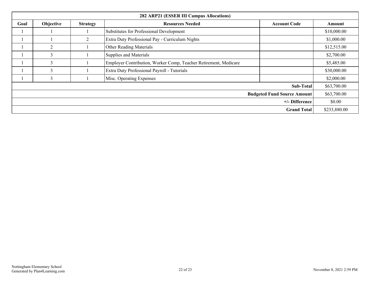| 282 ARP21 (ESSER III Campus Allocations) |                |                 |                                                                  |                     |             |
|------------------------------------------|----------------|-----------------|------------------------------------------------------------------|---------------------|-------------|
| Goal                                     | Objective      | <b>Strategy</b> | <b>Resources Needed</b>                                          | <b>Account Code</b> | Amount      |
|                                          |                |                 | Substitutes for Professional Development                         |                     | \$10,000.00 |
|                                          |                | $\overline{2}$  | Extra Duty Professional Pay - Curriculum Nights                  |                     | \$1,000.00  |
|                                          | $\overline{2}$ |                 | <b>Other Reading Materials</b>                                   |                     | \$12,515.00 |
|                                          | 3              |                 | Supplies and Materials                                           |                     | \$2,700.00  |
|                                          | 3              |                 | Employer Contribution, Worker Comp, Teacher Retirement, Medicare |                     | \$5,485.00  |
|                                          | 3              |                 | Extra Duty Professional Payroll - Tutorials                      |                     | \$30,000.00 |
|                                          | 3              |                 | Misc. Operating Expenses                                         |                     | \$2,000.00  |
| Sub-Total                                |                |                 | \$63,700.00                                                      |                     |             |
| <b>Budgeted Fund Source Amount</b>       |                |                 | \$63,700.00                                                      |                     |             |
| +/- Difference                           |                |                 | \$0.00                                                           |                     |             |
| <b>Grand Total</b>                       |                |                 | \$233,880.00                                                     |                     |             |